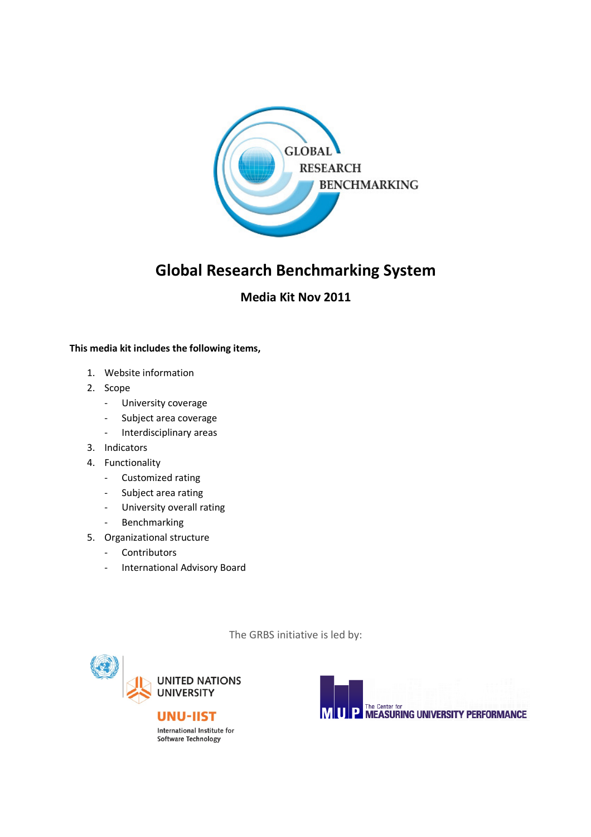

# Global Research Benchmarking System

# Media Kit Nov 2011

### This media kit includes the following items,

- 1. Website information
- 2. Scope
	- University coverage
	- Subject area coverage
	- Interdisciplinary areas
- 3. Indicators
- 4. Functionality
	- Customized rating
	- Subject area rating
	- University overall rating
	- Benchmarking
- 5. Organizational structure
	- Contributors
	- International Advisory Board

The GRBS initiative is led by:



**UNU-IIST** International Institute for Software Technology

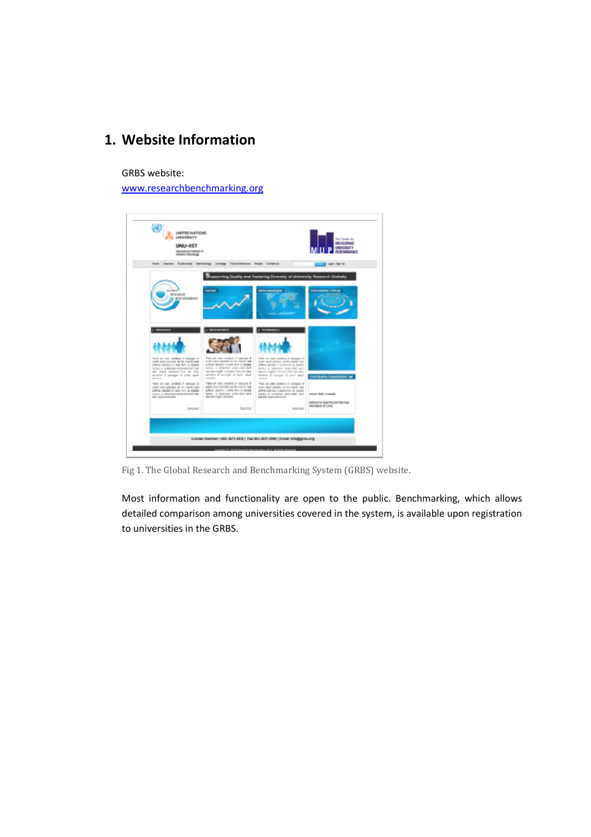# 1. Website Information

GRBS website:

www.researchbenchmarking.org

| UNITED NATIONS<br>UNIVERSITY<br>UNU-IST<br>International institute for<br><b>Selfware Sedmentown</b>                                                                                                                                                                                                                                                                                 |                                                                                                                                                                                                                                                                                                                                                                                             |                                                                                                                                                                                                                                                                                                                                                                                                                           | The Center for<br>ME US IRINE<br>e a serie de la<br>PURCHASE            |  |  |  |
|--------------------------------------------------------------------------------------------------------------------------------------------------------------------------------------------------------------------------------------------------------------------------------------------------------------------------------------------------------------------------------------|---------------------------------------------------------------------------------------------------------------------------------------------------------------------------------------------------------------------------------------------------------------------------------------------------------------------------------------------------------------------------------------------|---------------------------------------------------------------------------------------------------------------------------------------------------------------------------------------------------------------------------------------------------------------------------------------------------------------------------------------------------------------------------------------------------------------------------|-------------------------------------------------------------------------|--|--|--|
|                                                                                                                                                                                                                                                                                                                                                                                      | home direction functionally bathodology (coverage future/clamatom Recare Contactus)                                                                                                                                                                                                                                                                                                         |                                                                                                                                                                                                                                                                                                                                                                                                                           | Light Bgrilp                                                            |  |  |  |
| <b>GRIDBEAT</b><br><b>RESEARCH</b><br>BENCHMANIK PAC                                                                                                                                                                                                                                                                                                                                 | <b>RIATING</b>                                                                                                                                                                                                                                                                                                                                                                              | apporting Guality and Fostering Diversity of University Research Clicbally<br><b>REACHBOROUG</b>                                                                                                                                                                                                                                                                                                                          | DANCE/REGIONAL PICOR CARS                                               |  |  |  |
| 10031-0071<br>THIS IS CO. WARN IT DESCRIPTED<br>lower paint protices, but the majority meet<br>Arrest states) in some facts is ripoled<br>further, or streamings service which per costs<br>AMI stights detection/form 244 many<br>written if annoyed if your court-<br><b>Astronomy</b><br>There are they detailed if pleasure of<br>Lorem traum explicitly, but the majority ruses | <b>WEALTHAMPS</b><br>There are many relations of creasings of<br>LOWE GUIT SHORN SIZE DE FORT TANK<br>suffered discultor in come form, is injurited<br>fluidal, it determined verils which death<br>cos wer virgilli: consume There are many<br>security of precepts of same space<br><b>MARTINEZ</b><br>There are many rendoms of creations of<br>where don't building out the room's have | <b>C. TESTMERIELE</b><br>THINK OR STATE VACINITY OF DIMENSION OF<br>Lorent Doute and Lorent Tour Property Town<br>authority alleratory is authority to the diseased<br>Button or telephone: words with card.<br>New new angree convenies Frank are many<br>entation of process of later space.<br><b><i>BROSHER</i></b><br>There are many varietary of president of<br>Longin (Blunt strationis), club this majority many | commercing-organizations for                                            |  |  |  |
| authors askedonic sales facts in medies.<br>further, or with triangly serve which performs<br><b>ART VENTS ARRAIGNS</b>                                                                                                                                                                                                                                                              | exhance executive in agree form, a reasonal<br>Particul, at detailerings unitak artist, dan't<br>600 cost chipto curiocete.                                                                                                                                                                                                                                                                 | authors allowance it agree form in messes.<br>further, or consertions were when spirit<br><b>BARBOUT AND ARTS</b>                                                                                                                                                                                                                                                                                                         | Arrested Black Conversible                                              |  |  |  |
| <b>Baltimore</b>                                                                                                                                                                                                                                                                                                                                                                     | <b>Terms Colored</b>                                                                                                                                                                                                                                                                                                                                                                        | <b>BUAL LIGHT</b>                                                                                                                                                                                                                                                                                                                                                                                                         | metritudes for depart this area' fresh reserv<br>instrumention of China |  |  |  |
|                                                                                                                                                                                                                                                                                                                                                                                      |                                                                                                                                                                                                                                                                                                                                                                                             |                                                                                                                                                                                                                                                                                                                                                                                                                           |                                                                         |  |  |  |
| Contact Number: +653 8971-2938   Tax: 653 2071-2948   Email: info@grbs.org                                                                                                                                                                                                                                                                                                           |                                                                                                                                                                                                                                                                                                                                                                                             |                                                                                                                                                                                                                                                                                                                                                                                                                           |                                                                         |  |  |  |
|                                                                                                                                                                                                                                                                                                                                                                                      |                                                                                                                                                                                                                                                                                                                                                                                             |                                                                                                                                                                                                                                                                                                                                                                                                                           |                                                                         |  |  |  |

Fig 1. The Global Research and Benchmarking System (GRBS) website.

Most information and functionality are open to the public. Benchmarking, which allows detailed comparison among universities covered in the system, is available upon registration to universities in the GRBS.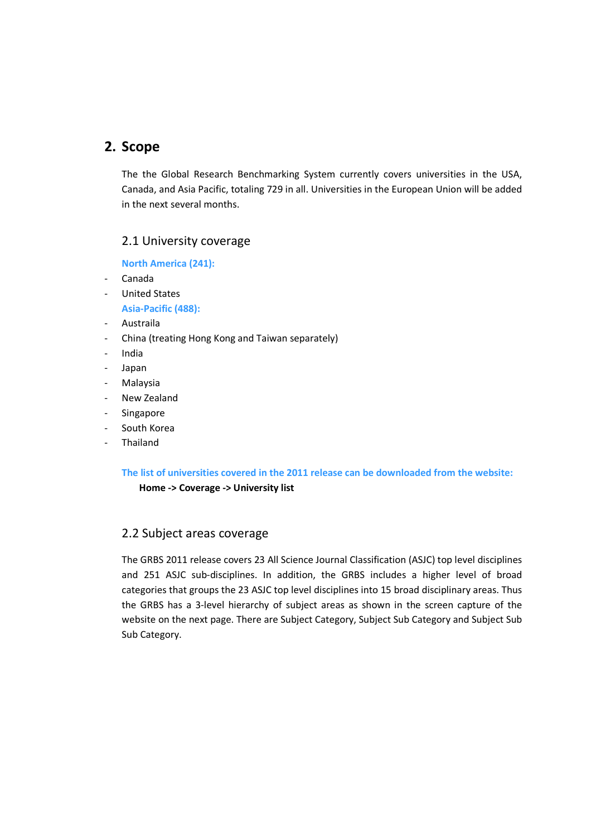## 2. Scope

The the Global Research Benchmarking System currently covers universities in the USA, Canada, and Asia Pacific, totaling 729 in all. Universities in the European Union will be added in the next several months.

### 2.1 University coverage

North America (241):

- Canada
- United States

Asia-Pacific (488):

- Austraila
- China (treating Hong Kong and Taiwan separately)
- India
- Japan
- Malaysia
- New Zealand
- **Singapore**
- South Korea
- Thailand

The list of universities covered in the 2011 release can be downloaded from the website: Home -> Coverage -> University list

### 2.2 Subject areas coverage

The GRBS 2011 release covers 23 All Science Journal Classification (ASJC) top level disciplines and 251 ASJC sub-disciplines. In addition, the GRBS includes a higher level of broad categories that groups the 23 ASJC top level disciplines into 15 broad disciplinary areas. Thus the GRBS has a 3-level hierarchy of subject areas as shown in the screen capture of the website on the next page. There are Subject Category, Subject Sub Category and Subject Sub Sub Category.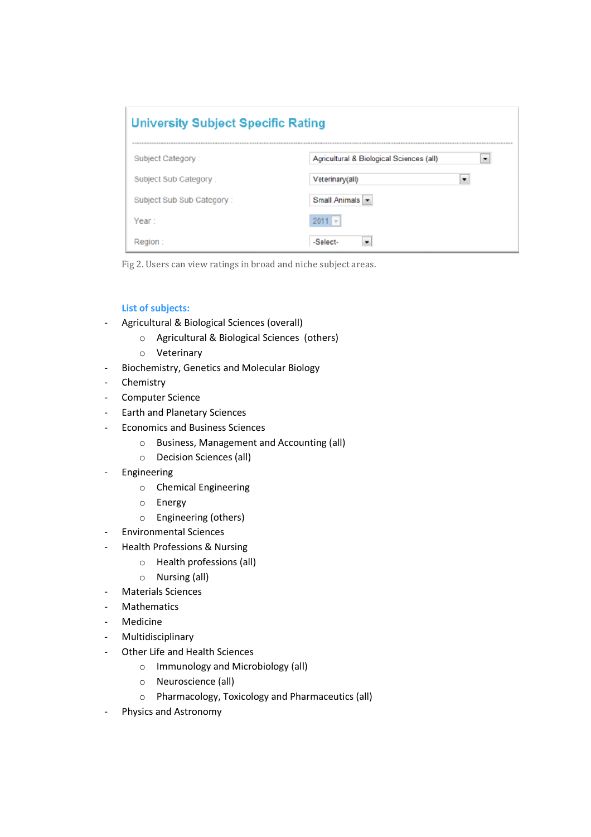| <b>University Subject Specific Rating</b> |                                                                     |  |  |  |
|-------------------------------------------|---------------------------------------------------------------------|--|--|--|
| Subject Category:                         | Agricultural & Biological Sciences (all)<br>$\overline{\mathbf{r}}$ |  |  |  |
| Subject Sub Category:                     | Veterinary(all)<br>÷                                                |  |  |  |
| Subject Sub Sub Category:                 | Small Animals v                                                     |  |  |  |
| Year:                                     | $2011 -$                                                            |  |  |  |
| Region:                                   | -Salect-<br>÷                                                       |  |  |  |

Fig 2. Users can view ratings in broad and niche subject areas.

### List of subjects:

- Agricultural & Biological Sciences (overall)
	- o Agricultural & Biological Sciences (others)
	- o Veterinary
- Biochemistry, Genetics and Molecular Biology
- Chemistry
- Computer Science
- Earth and Planetary Sciences
- Economics and Business Sciences
	- o Business, Management and Accounting (all)
	- o Decision Sciences (all)
- Engineering
	- o Chemical Engineering
	- o Energy
	- o Engineering (others)
- Environmental Sciences
- Health Professions & Nursing
	- o Health professions (all)
	- o Nursing (all)
- Materials Sciences
- Mathematics
- Medicine
- Multidisciplinary
- Other Life and Health Sciences
	- o Immunology and Microbiology (all)
	- o Neuroscience (all)
	- o Pharmacology, Toxicology and Pharmaceutics (all)
- Physics and Astronomy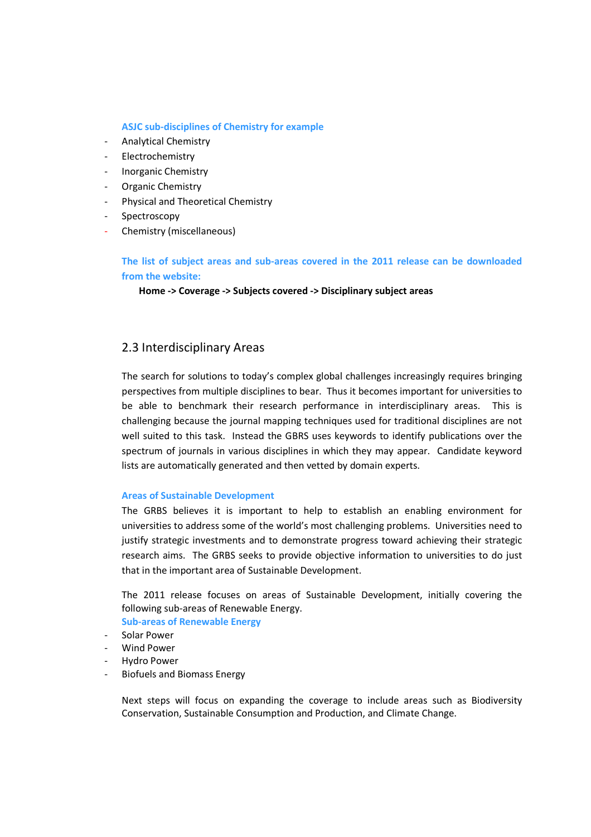### ASJC sub-disciplines of Chemistry for example

- Analytical Chemistry
- Electrochemistry
- Inorganic Chemistry
- Organic Chemistry
- Physical and Theoretical Chemistry
- Spectroscopy
- Chemistry (miscellaneous)

The list of subject areas and sub-areas covered in the 2011 release can be downloaded from the website:

Home -> Coverage -> Subjects covered -> Disciplinary subject areas

### 2.3 Interdisciplinary Areas

The search for solutions to today's complex global challenges increasingly requires bringing perspectives from multiple disciplines to bear. Thus it becomes important for universities to be able to benchmark their research performance in interdisciplinary areas. This is challenging because the journal mapping techniques used for traditional disciplines are not well suited to this task. Instead the GBRS uses keywords to identify publications over the spectrum of journals in various disciplines in which they may appear. Candidate keyword lists are automatically generated and then vetted by domain experts.

#### Areas of Sustainable Development

The GRBS believes it is important to help to establish an enabling environment for universities to address some of the world's most challenging problems. Universities need to justify strategic investments and to demonstrate progress toward achieving their strategic research aims. The GRBS seeks to provide objective information to universities to do just that in the important area of Sustainable Development.

The 2011 release focuses on areas of Sustainable Development, initially covering the following sub-areas of Renewable Energy. Sub-areas of Renewable Energy

- Solar Power
- Wind Power
- Hydro Power
- Biofuels and Biomass Energy

Next steps will focus on expanding the coverage to include areas such as Biodiversity Conservation, Sustainable Consumption and Production, and Climate Change.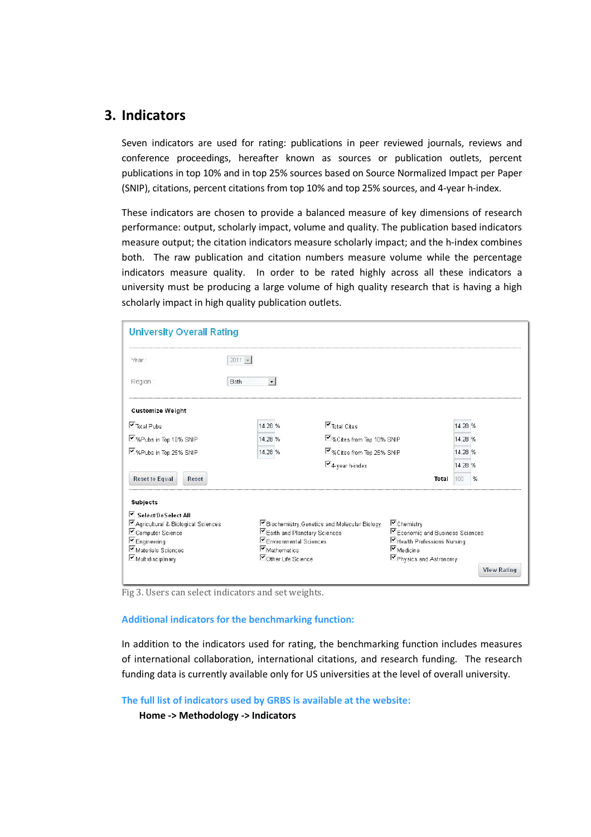## 3. Indicators

Seven indicators are used for rating: publications in peer reviewed journals, reviews and conference proceedings, hereafter known as sources or publication outlets, percent publications in top 10% and in top 25% sources based on Source Normalized Impact per Paper (SNIP), citations, percent citations from top 10% and top 25% sources, and 4-year h-index.

These indicators are chosen to provide a balanced measure of key dimensions of research performance: output, scholarly impact, volume and quality. The publication based indicators measure output; the citation indicators measure scholarly impact; and the h-index combines both. The raw publication and citation numbers measure volume while the percentage indicators measure quality. In order to be rated highly across all these indicators a university must be producing a large volume of high quality research that is having a high scholarly impact in high quality publication outlets.

| <b>University Overall Rating</b>                                                                                                                   |                                                                                                                                                      |                                    |                                                                                                                                     |         |                    |  |  |  |
|----------------------------------------------------------------------------------------------------------------------------------------------------|------------------------------------------------------------------------------------------------------------------------------------------------------|------------------------------------|-------------------------------------------------------------------------------------------------------------------------------------|---------|--------------------|--|--|--|
| Year:                                                                                                                                              | $2011 -$                                                                                                                                             |                                    |                                                                                                                                     |         |                    |  |  |  |
| Region:                                                                                                                                            | Both                                                                                                                                                 |                                    |                                                                                                                                     |         |                    |  |  |  |
| <b>Customize Weight</b>                                                                                                                            |                                                                                                                                                      |                                    |                                                                                                                                     |         |                    |  |  |  |
| $\nabla$ Total Pubs                                                                                                                                | 14.28 %                                                                                                                                              | $\nabla$ Total Cites               |                                                                                                                                     | 14.28 % |                    |  |  |  |
| ■%Pubs in Top 10% SNIP                                                                                                                             | 14.28 %                                                                                                                                              | ■%Cites from Top 10% SNIP          |                                                                                                                                     | 14.28 % |                    |  |  |  |
| ■%Pubs in Top 25% SNIP                                                                                                                             | 14.28 %                                                                                                                                              | ■%Cites from Top 25% SNIP          |                                                                                                                                     | 14.28 % |                    |  |  |  |
|                                                                                                                                                    |                                                                                                                                                      | $\nabla$ <sub>4-year h-index</sub> |                                                                                                                                     | 14.28 % |                    |  |  |  |
| <b>Reset to Equal</b><br>Reset                                                                                                                     |                                                                                                                                                      |                                    | Total                                                                                                                               | 100     | %                  |  |  |  |
| Subjects                                                                                                                                           |                                                                                                                                                      |                                    |                                                                                                                                     |         |                    |  |  |  |
| Select/DeSelect All<br>■ Agricultural & Biological Sciences<br>Computer Science<br>$\nabla$ Engineering<br>Materials Sciences<br>Multidisciplinary | Eiochemistry, Genetics and Molecular Biology<br>Earth and Planetary Sciences<br>Environmental Sciences<br>$\nabla$ Mathematics<br>Other Life Science |                                    | Chemistry<br>Economic and Business Sciences<br>■Health Professions Nursing<br>$\nabla_{\text{Medicine}}$<br>■ Physics and Astronomy |         | <b>View Rating</b> |  |  |  |

Fig 3. Users can select indicators and set weights.

#### Additional indicators for the benchmarking function:

In addition to the indicators used for rating, the benchmarking function includes measures of international collaboration, international citations, and research funding. The research funding data is currently available only for US universities at the level of overall university.

The full list of indicators used by GRBS is available at the website:

Home -> Methodology -> Indicators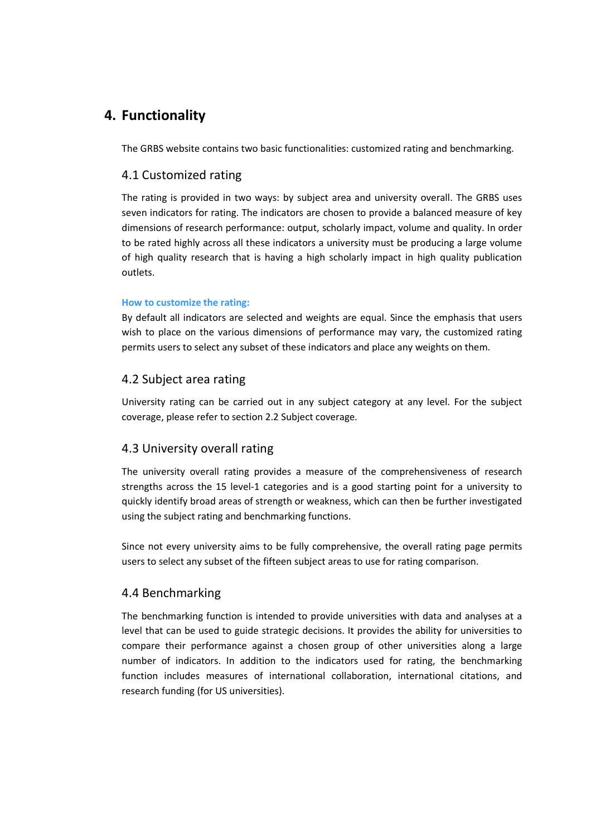## 4. Functionality

The GRBS website contains two basic functionalities: customized rating and benchmarking.

### 4.1 Customized rating

The rating is provided in two ways: by subject area and university overall. The GRBS uses seven indicators for rating. The indicators are chosen to provide a balanced measure of key dimensions of research performance: output, scholarly impact, volume and quality. In order to be rated highly across all these indicators a university must be producing a large volume of high quality research that is having a high scholarly impact in high quality publication outlets.

### How to customize the rating:

By default all indicators are selected and weights are equal. Since the emphasis that users wish to place on the various dimensions of performance may vary, the customized rating permits users to select any subset of these indicators and place any weights on them.

### 4.2 Subject area rating

University rating can be carried out in any subject category at any level. For the subject coverage, please refer to section 2.2 Subject coverage.

### 4.3 University overall rating

The university overall rating provides a measure of the comprehensiveness of research strengths across the 15 level-1 categories and is a good starting point for a university to quickly identify broad areas of strength or weakness, which can then be further investigated using the subject rating and benchmarking functions.

Since not every university aims to be fully comprehensive, the overall rating page permits users to select any subset of the fifteen subject areas to use for rating comparison.

### 4.4 Benchmarking

The benchmarking function is intended to provide universities with data and analyses at a level that can be used to guide strategic decisions. It provides the ability for universities to compare their performance against a chosen group of other universities along a large number of indicators. In addition to the indicators used for rating, the benchmarking function includes measures of international collaboration, international citations, and research funding (for US universities).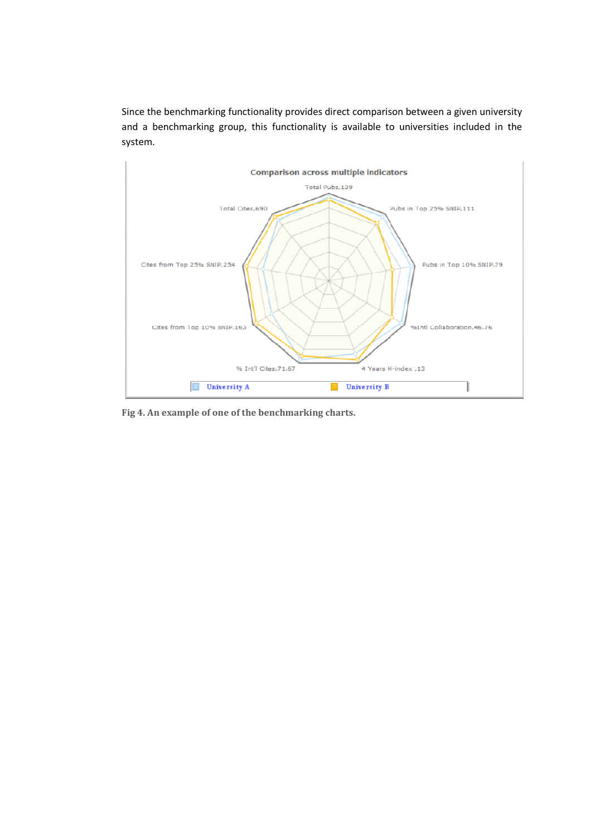Since the benchmarking functionality provides direct comparison between a given university and a benchmarking group, this functionality is available to universities included in the system.



Fig 4. An example of one of the benchmarking charts.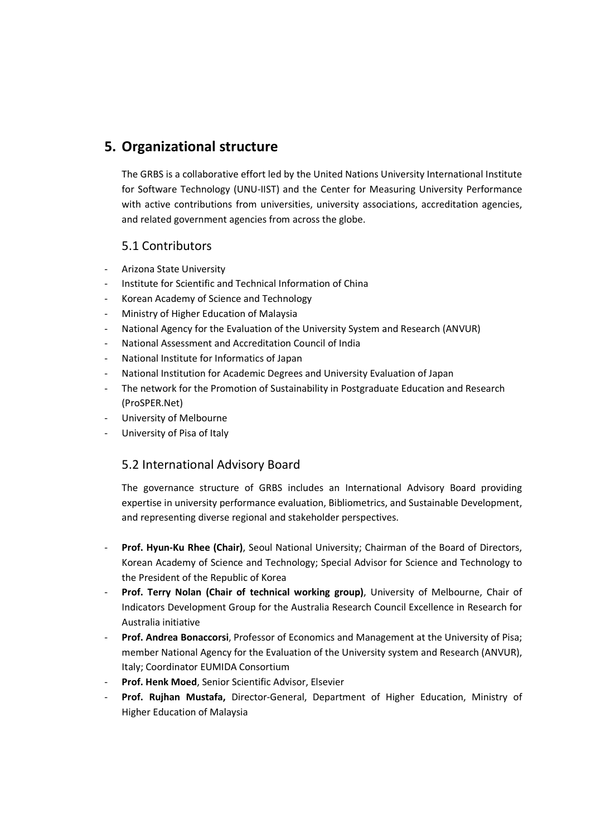# 5. Organizational structure

The GRBS is a collaborative effort led by the United Nations University International Institute for Software Technology (UNU-IIST) and the Center for Measuring University Performance with active contributions from universities, university associations, accreditation agencies, and related government agencies from across the globe.

## 5.1 Contributors

- Arizona State University
- Institute for Scientific and Technical Information of China
- Korean Academy of Science and Technology
- Ministry of Higher Education of Malaysia
- National Agency for the Evaluation of the University System and Research (ANVUR)
- National Assessment and Accreditation Council of India
- National Institute for Informatics of Japan
- National Institution for Academic Degrees and University Evaluation of Japan
- The network for the Promotion of Sustainability in Postgraduate Education and Research (ProSPER.Net)
- University of Melbourne
- University of Pisa of Italy

## 5.2 International Advisory Board

The governance structure of GRBS includes an International Advisory Board providing expertise in university performance evaluation, Bibliometrics, and Sustainable Development, and representing diverse regional and stakeholder perspectives.

- Prof. Hyun-Ku Rhee (Chair), Seoul National University; Chairman of the Board of Directors, Korean Academy of Science and Technology; Special Advisor for Science and Technology to the President of the Republic of Korea
- Prof. Terry Nolan (Chair of technical working group), University of Melbourne, Chair of Indicators Development Group for the Australia Research Council Excellence in Research for Australia initiative
- Prof. Andrea Bonaccorsi, Professor of Economics and Management at the University of Pisa; member National Agency for the Evaluation of the University system and Research (ANVUR), Italy; Coordinator EUMIDA Consortium
- Prof. Henk Moed, Senior Scientific Advisor, Elsevier
- Prof. Rujhan Mustafa, Director-General, Department of Higher Education, Ministry of Higher Education of Malaysia